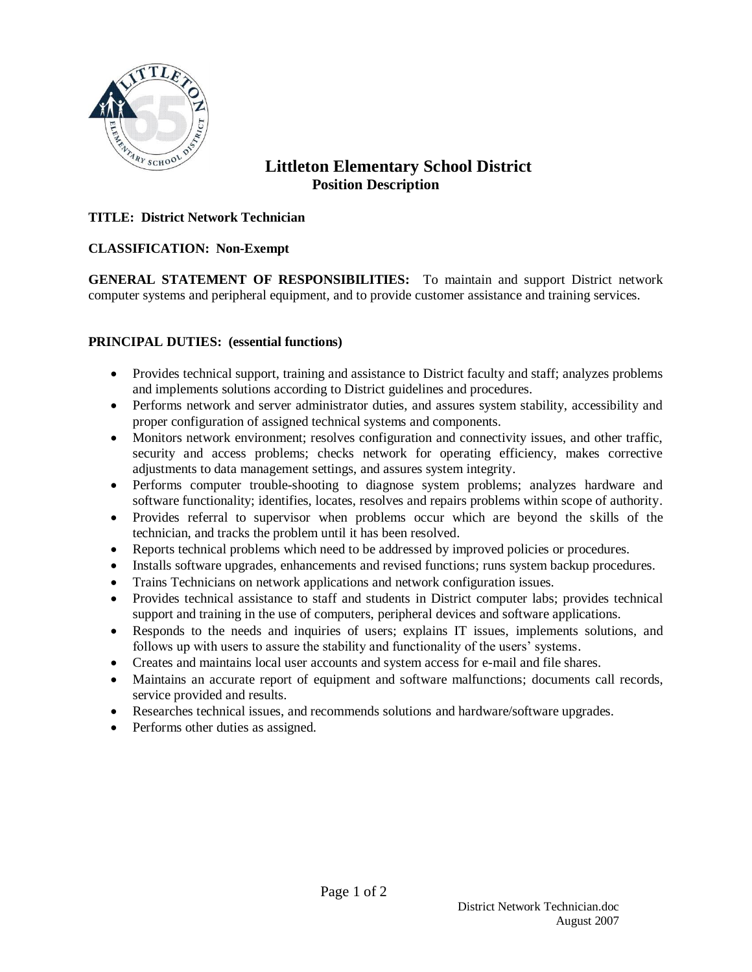

# **Littleton Elementary School District Position Description**

### **TITLE: District Network Technician**

#### **CLASSIFICATION: Non-Exempt**

**GENERAL STATEMENT OF RESPONSIBILITIES:** To maintain and support District network computer systems and peripheral equipment, and to provide customer assistance and training services.

#### **PRINCIPAL DUTIES: (essential functions)**

- Provides technical support, training and assistance to District faculty and staff; analyzes problems and implements solutions according to District guidelines and procedures.
- Performs network and server administrator duties, and assures system stability, accessibility and proper configuration of assigned technical systems and components.
- Monitors network environment; resolves configuration and connectivity issues, and other traffic, security and access problems; checks network for operating efficiency, makes corrective adjustments to data management settings, and assures system integrity.
- Performs computer trouble-shooting to diagnose system problems; analyzes hardware and software functionality; identifies, locates, resolves and repairs problems within scope of authority.
- Provides referral to supervisor when problems occur which are beyond the skills of the technician, and tracks the problem until it has been resolved.
- Reports technical problems which need to be addressed by improved policies or procedures.
- Installs software upgrades, enhancements and revised functions; runs system backup procedures.
- Trains Technicians on network applications and network configuration issues.
- Provides technical assistance to staff and students in District computer labs; provides technical support and training in the use of computers, peripheral devices and software applications.
- Responds to the needs and inquiries of users; explains IT issues, implements solutions, and follows up with users to assure the stability and functionality of the users' systems.
- Creates and maintains local user accounts and system access for e-mail and file shares.
- Maintains an accurate report of equipment and software malfunctions; documents call records, service provided and results.
- Researches technical issues, and recommends solutions and hardware/software upgrades.
- Performs other duties as assigned.